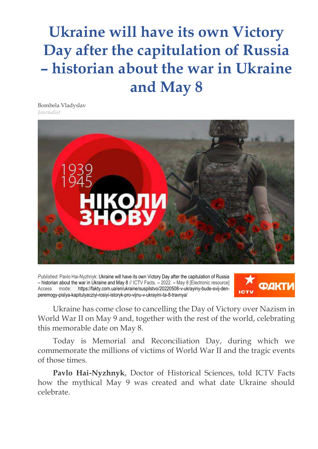## **Ukraine will have its own Victory Day after the capitulation of Russia – historian about the war in Ukraine and May 8**

Bombela Vladyslav *Journalist*



*Published:* Pavlo Hai-Nyzhnyk: Ukraine will have its own Victory Day after the capitulation of Russia – historian about the war in Ukraine and May 8 // ICTV Facts. – 2022. – May 8 [Electronic resource] Access mode: https://fakty.com.ua/en/ukraine/suspilstvo/20220508-v-ukrayiny-bude-svij-denperemogy-pislya-kapitulyacziyi-rosiyi-istoryk-pro-vijnu-v-ukrayini-ta-8-travnya/



Ukraine has come close to cancelling the Day of Victory over Nazism in World War II on May 9 and, together with the rest of the world, celebrating this memorable date on May 8.

Today is Memorial and Reconciliation Day, during which we commemorate the millions of victims of World War II and the tragic events of those times.

**Pavlo Hai-Nyzhnyk**, Doctor of Historical Sciences, told ICTV Facts how the mythical May 9 was created and what date Ukraine should celebrate.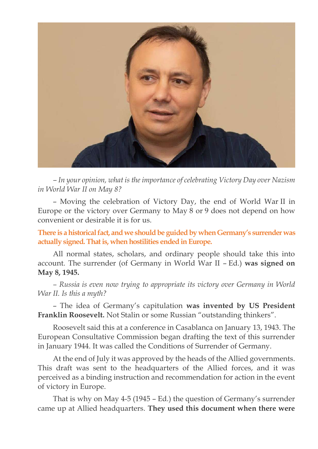

*– In your opinion, what is the importance of celebrating Victory Day over Nazism in World War II on May 8?*

– Moving the celebration of Victory Day, the end of World War II in Europe or the victory over Germany to May 8 or 9 does not depend on how convenient or desirable it is for us.

**There is a historical fact, and we should be guided by when Germany's surrender was actually signed. That is, when hostilities ended in Europe.**

All normal states, scholars, and ordinary people should take this into account. The surrender (of Germany in World War II – Ed.) **was signed on May 8, 1945.**

*– Russia is even now trying to appropriate its victory over Germany in World War II. Is this a myth?*

– The idea of Germany's capitulation **was invented by US President Franklin Roosevelt.** Not Stalin or some Russian "outstanding thinkers".

Roosevelt said this at a conference in Casablanca on January 13, 1943. The European Consultative Commission began drafting the text of this surrender in January 1944. It was called the Conditions of Surrender of Germany.

At the end of July it was approved by the heads of the Allied governments. This draft was sent to the headquarters of the Allied forces, and it was perceived as a binding instruction and recommendation for action in the event of victory in Europe.

That is why on May 4-5 (1945 – Ed.) the question of Germany's surrender came up at Allied headquarters. **They used this document when there were**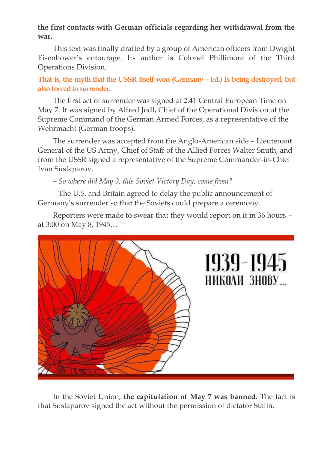## **the first contacts with German officials regarding her withdrawal from the war.**

This text was finally drafted by a group of American officers from Dwight Eisenhower's entourage. Its author is Colonel Phillimore of the Third Operations Division.

**That is, the myth that the USSR itself won (Germany – Ed.) Is being destroyed, but also forced to surrender.**

The first act of surrender was signed at 2.41 Central European Time on May 7. It was signed by Alfred Jodl, Chief of the Operational Division of the Supreme Command of the German Armed Forces, as a representative of the Wehrmacht (German troops).

The surrender was accepted from the Anglo-American side – Lieutenant General of the US Army, Chief of Staff of the Allied Forces Walter Smith, and from the USSR signed a representative of the Supreme Commander-in-Chief Ivan Suslaparov.

*– So where did May 9, this Soviet Victory Day, come from?*

– The U.S. and Britain agreed to delay the public announcement of Germany's surrender so that the Soviets could prepare a ceremony.

Reporters were made to swear that they would report on it in 36 hours – at 3:00 on May 8, 1945…



In the Soviet Union, **the capitulation of May 7 was banned.** The fact is that Suslaparov signed the act without the permission of dictator Stalin.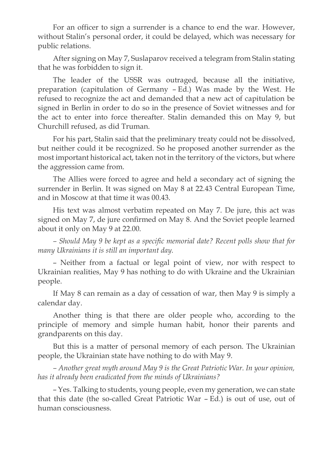For an officer to sign a surrender is a chance to end the war. However, without Stalin's personal order, it could be delayed, which was necessary for public relations.

After signing on May 7, Suslaparov received a telegram from Stalin stating that he was forbidden to sign it.

The leader of the USSR was outraged, because all the initiative, preparation (capitulation of Germany – Ed.) Was made by the West. He refused to recognize the act and demanded that a new act of capitulation be signed in Berlin in order to do so in the presence of Soviet witnesses and for the act to enter into force thereafter. Stalin demanded this on May 9, but Churchill refused, as did Truman.

For his part, Stalin said that the preliminary treaty could not be dissolved, but neither could it be recognized. So he proposed another surrender as the most important historical act, taken not in the territory of the victors, but where the aggression came from.

The Allies were forced to agree and held a secondary act of signing the surrender in Berlin. It was signed on May 8 at 22.43 Central European Time, and in Moscow at that time it was 00.43.

His text was almost verbatim repeated on May 7. De jure, this act was signed on May 7, de jure confirmed on May 8. And the Soviet people learned about it only on May 9 at 22.00.

*– Should May 9 be kept as a specific memorial date? Recent polls show that for many Ukrainians it is still an important day.*

– Neither from a factual or legal point of view, nor with respect to Ukrainian realities, May 9 has nothing to do with Ukraine and the Ukrainian people.

If May 8 can remain as a day of cessation of war, then May 9 is simply a calendar day.

Another thing is that there are older people who, according to the principle of memory and simple human habit, honor their parents and grandparents on this day.

But this is a matter of personal memory of each person. The Ukrainian people, the Ukrainian state have nothing to do with May 9.

*– Another great myth around May 9 is the Great Patriotic War. In your opinion, has it already been eradicated from the minds of Ukrainians?*

– Yes. Talking to students, young people, even my generation, we can state that this date (the so-called Great Patriotic War – Ed.) is out of use, out of human consciousness.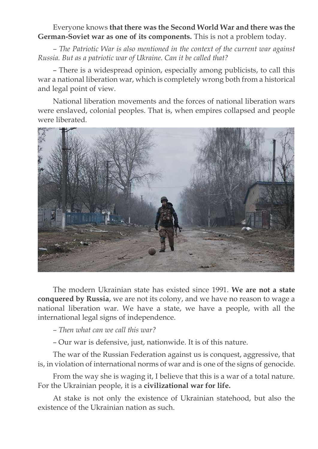## Everyone knows **that there was the Second World War and there was the German-Soviet war as one of its components.** This is not a problem today.

*– The Patriotic War is also mentioned in the context of the current war against Russia. But as a patriotic war of Ukraine. Can it be called that?*

– There is a widespread opinion, especially among publicists, to call this war a national liberation war, which is completely wrong both from a historical and legal point of view.

National liberation movements and the forces of national liberation wars were enslaved, colonial peoples. That is, when empires collapsed and people were liberated.



The modern Ukrainian state has existed since 1991. **We are not a state conquered by Russia**, we are not its colony, and we have no reason to wage a national liberation war. We have a state, we have a people, with all the international legal signs of independence.

*– Then what can we call this war?*

– Our war is defensive, just, nationwide. It is of this nature.

The war of the Russian Federation against us is conquest, aggressive, that is, in violation of international norms of war and is one of the signs of genocide.

From the way she is waging it, I believe that this is a war of a total nature. For the Ukrainian people, it is a **civilizational war for life.**

At stake is not only the existence of Ukrainian statehood, but also the existence of the Ukrainian nation as such.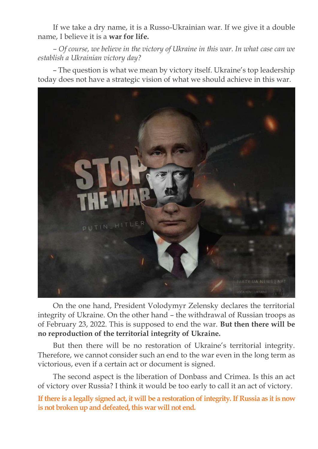If we take a dry name, it is a Russo-Ukrainian war. If we give it a double name, I believe it is a **war for life.**

*– Of course, we believe in the victory of Ukraine in this war. In what case can we establish a Ukrainian victory day?*

– The question is what we mean by victory itself. Ukraine's top leadership today does not have a strategic vision of what we should achieve in this war.



On the one hand, President Volodymyr Zelensky declares the territorial integrity of Ukraine. On the other hand – the withdrawal of Russian troops as of February 23, 2022. This is supposed to end the war. **But then there will be no reproduction of the territorial integrity of Ukraine.**

But then there will be no restoration of Ukraine's territorial integrity. Therefore, we cannot consider such an end to the war even in the long term as victorious, even if a certain act or document is signed.

The second aspect is the liberation of Donbass and Crimea. Is this an act of victory over Russia? I think it would be too early to call it an act of victory.

**If there is a legally signed act, it will be a restoration of integrity. If Russia as it is now is not broken up and defeated, this war will not end.**